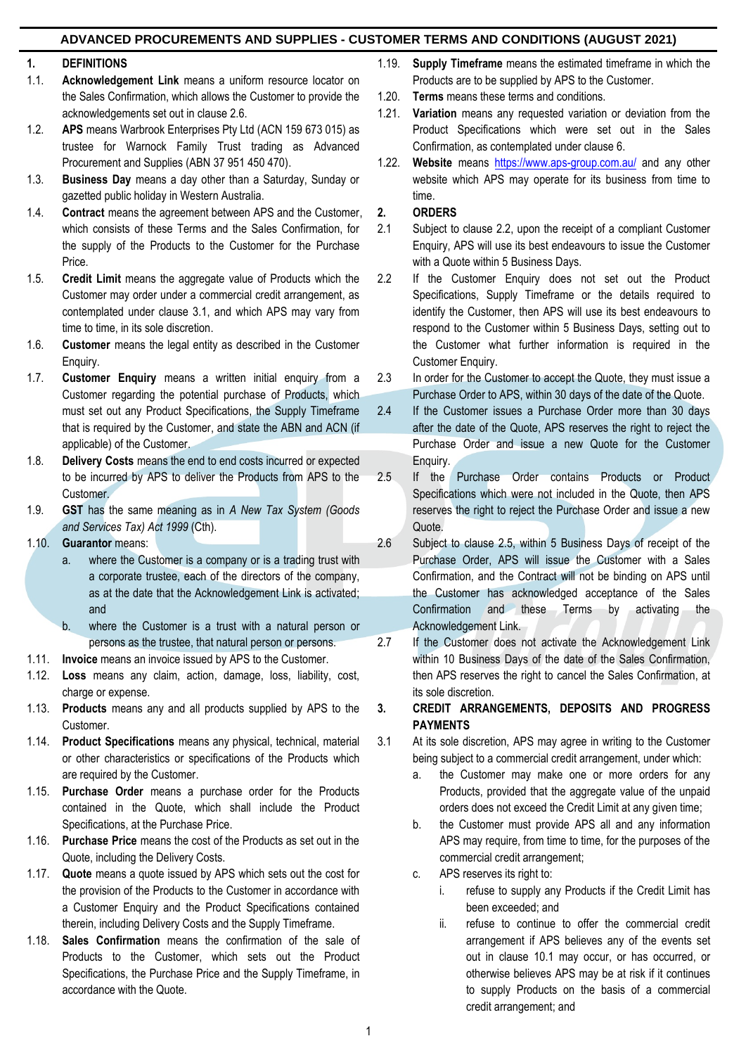### **1. DEFINITIONS**

- 1.1. **Acknowledgement Link** means a uniform resource locator on the Sales Confirmation, which allows the Customer to provide the acknowledgements set out in clause 2.6.
- 1.2. **APS** means Warbrook Enterprises Pty Ltd (ACN 159 673 015) as trustee for Warnock Family Trust trading as Advanced Procurement and Supplies (ABN 37 951 450 470).
- 1.3. **Business Day** means a day other than a Saturday, Sunday or gazetted public holiday in Western Australia.
- 1.4. **Contract** means the agreement between APS and the Customer, which consists of these Terms and the Sales Confirmation, for the supply of the Products to the Customer for the Purchase Price.
- 1.5. **Credit Limit** means the aggregate value of Products which the Customer may order under a commercial credit arrangement, as contemplated under clause 3.1, and which APS may vary from time to time, in its sole discretion.
- 1.6. **Customer** means the legal entity as described in the Customer Enquiry.
- 1.7. **Customer Enquiry** means a written initial enquiry from a Customer regarding the potential purchase of Products, which must set out any Product Specifications, the Supply Timeframe that is required by the Customer, and state the ABN and ACN (if applicable) of the Customer.
- 1.8. **Delivery Costs** means the end to end costs incurred or expected to be incurred by APS to deliver the Products from APS to the Customer.
- 1.9. **GST** has the same meaning as in *A New Tax System (Goods and Services Tax) Act 1999* (Cth).
- 1.10. **Guarantor** means:
	- a. where the Customer is a company or is a trading trust with a corporate trustee, each of the directors of the company, as at the date that the Acknowledgement Link is activated; and
	- b. where the Customer is a trust with a natural person or persons as the trustee, that natural person or persons.
- 1.11. **Invoice** means an invoice issued by APS to the Customer.
- 1.12. **Loss** means any claim, action, damage, loss, liability, cost, charge or expense.
- 1.13. **Products** means any and all products supplied by APS to the Customer.
- 1.14. **Product Specifications** means any physical, technical, material or other characteristics or specifications of the Products which are required by the Customer.
- 1.15. **Purchase Order** means a purchase order for the Products contained in the Quote, which shall include the Product Specifications, at the Purchase Price.
- 1.16. **Purchase Price** means the cost of the Products as set out in the Quote, including the Delivery Costs.
- 1.17. **Quote** means a quote issued by APS which sets out the cost for the provision of the Products to the Customer in accordance with a Customer Enquiry and the Product Specifications contained therein, including Delivery Costs and the Supply Timeframe.
- 1.18. **Sales Confirmation** means the confirmation of the sale of Products to the Customer, which sets out the Product Specifications, the Purchase Price and the Supply Timeframe, in accordance with the Quote.
- 1.19. **Supply Timeframe** means the estimated timeframe in which the Products are to be supplied by APS to the Customer.
- 1.20. **Terms** means these terms and conditions.
- 1.21. **Variation** means any requested variation or deviation from the Product Specifications which were set out in the Sales Confirmation, as contemplated under clause 6.
- 1.22. **Website** means <https://www.aps-group.com.au/> and any other website which APS may operate for its business from time to time.
- **2. ORDERS**
- 2.1 Subject to clause 2.2, upon the receipt of a compliant Customer Enquiry, APS will use its best endeavours to issue the Customer with a Quote within 5 Business Days.
- 2.2 If the Customer Enquiry does not set out the Product Specifications, Supply Timeframe or the details required to identify the Customer, then APS will use its best endeavours to respond to the Customer within 5 Business Days, setting out to the Customer what further information is required in the Customer Enquiry.
- 2.3 In order for the Customer to accept the Quote, they must issue a Purchase Order to APS, within 30 days of the date of the Quote.
- 2.4 If the Customer issues a Purchase Order more than 30 days after the date of the Quote, APS reserves the right to reject the Purchase Order and issue a new Quote for the Customer Enquiry.
- 2.5 If the Purchase Order contains Products or Product Specifications which were not included in the Quote, then APS reserves the right to reject the Purchase Order and issue a new Quote.
- 2.6 Subject to clause 2.5, within 5 Business Days of receipt of the Purchase Order, APS will issue the Customer with a Sales Confirmation, and the Contract will not be binding on APS until the Customer has acknowledged acceptance of the Sales Confirmation and these Terms by activating the Acknowledgement Link.
- 2.7 If the Customer does not activate the Acknowledgement Link within 10 Business Days of the date of the Sales Confirmation, then APS reserves the right to cancel the Sales Confirmation, at its sole discretion.
- **3. CREDIT ARRANGEMENTS, DEPOSITS AND PROGRESS PAYMENTS**
- 3.1 At its sole discretion, APS may agree in writing to the Customer being subject to a commercial credit arrangement, under which:
	- a. the Customer may make one or more orders for any Products, provided that the aggregate value of the unpaid orders does not exceed the Credit Limit at any given time;
	- b. the Customer must provide APS all and any information APS may require, from time to time, for the purposes of the commercial credit arrangement;
	- c. APS reserves its right to:
		- i. refuse to supply any Products if the Credit Limit has been exceeded; and
		- ii. refuse to continue to offer the commercial credit arrangement if APS believes any of the events set out in clause 10.1 may occur, or has occurred, or otherwise believes APS may be at risk if it continues to supply Products on the basis of a commercial credit arrangement; and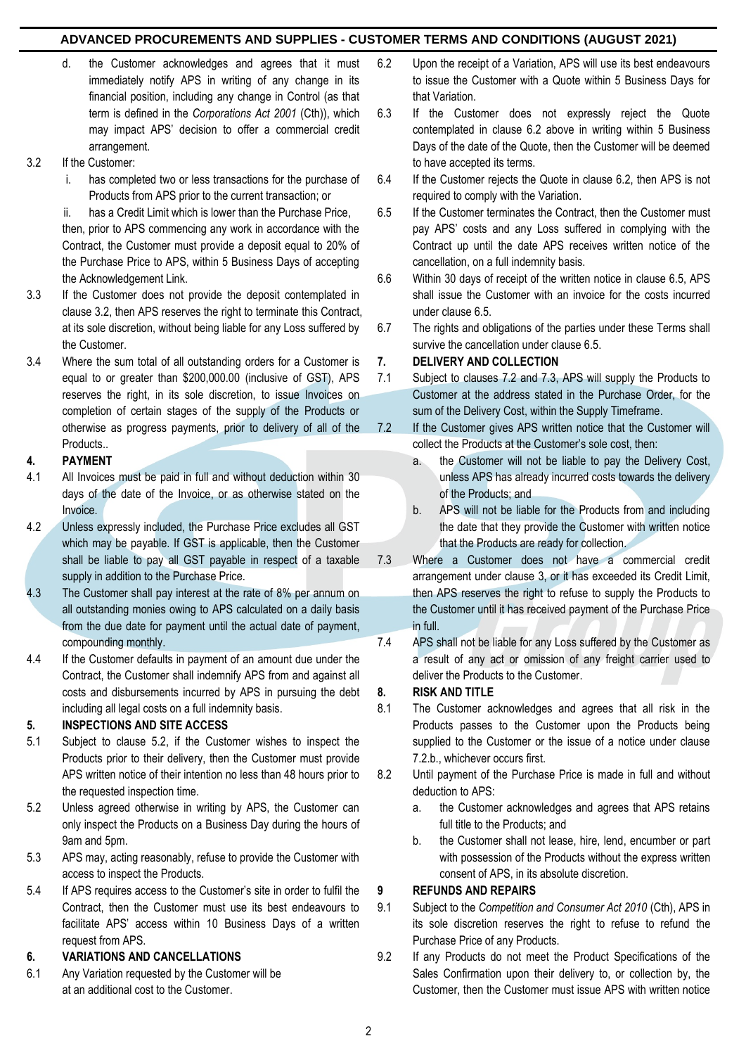- d. the Customer acknowledges and agrees that it must immediately notify APS in writing of any change in its financial position, including any change in Control (as that term is defined in the *Corporations Act 2001* (Cth)), which may impact APS' decision to offer a commercial credit arrangement.
- 3.2 If the Customer:
	- i. has completed two or less transactions for the purchase of Products from APS prior to the current transaction; or

ii. has a Credit Limit which is lower than the Purchase Price, then, prior to APS commencing any work in accordance with the Contract, the Customer must provide a deposit equal to 20% of the Purchase Price to APS, within 5 Business Days of accepting the Acknowledgement Link.

- 3.3 If the Customer does not provide the deposit contemplated in clause 3.2, then APS reserves the right to terminate this Contract, at its sole discretion, without being liable for any Loss suffered by the Customer.
- 3.4 Where the sum total of all outstanding orders for a Customer is equal to or greater than \$200,000.00 (inclusive of GST), APS reserves the right, in its sole discretion, to issue Invoices on completion of certain stages of the supply of the Products or otherwise as progress payments, prior to delivery of all of the Products..

## **4. PAYMENT**

- 4.1 All Invoices must be paid in full and without deduction within 30 days of the date of the Invoice, or as otherwise stated on the Invoice.
- 4.2 Unless expressly included, the Purchase Price excludes all GST which may be payable. If GST is applicable, then the Customer shall be liable to pay all GST payable in respect of a taxable supply in addition to the Purchase Price.
- 4.3 The Customer shall pay interest at the rate of 8% per annum on all outstanding monies owing to APS calculated on a daily basis from the due date for payment until the actual date of payment, compounding monthly.
- 4.4 If the Customer defaults in payment of an amount due under the Contract, the Customer shall indemnify APS from and against all costs and disbursements incurred by APS in pursuing the debt including all legal costs on a full indemnity basis.

# **5. INSPECTIONS AND SITE ACCESS**

- 5.1 Subject to clause 5.2, if the Customer wishes to inspect the Products prior to their delivery, then the Customer must provide APS written notice of their intention no less than 48 hours prior to the requested inspection time.
- 5.2 Unless agreed otherwise in writing by APS, the Customer can only inspect the Products on a Business Day during the hours of 9am and 5pm.
- 5.3 APS may, acting reasonably, refuse to provide the Customer with access to inspect the Products.
- 5.4 If APS requires access to the Customer's site in order to fulfil the Contract, then the Customer must use its best endeavours to facilitate APS' access within 10 Business Days of a written request from APS.

### **6. VARIATIONS AND CANCELLATIONS**

6.1 Any Variation requested by the Customer will be at an additional cost to the Customer.

- 6.2 Upon the receipt of a Variation, APS will use its best endeavours to issue the Customer with a Quote within 5 Business Days for that Variation.
- 6.3 If the Customer does not expressly reject the Quote contemplated in clause 6.2 above in writing within 5 Business Days of the date of the Quote, then the Customer will be deemed to have accepted its terms.
- 6.4 If the Customer rejects the Quote in clause 6.2, then APS is not required to comply with the Variation.
- 6.5 If the Customer terminates the Contract, then the Customer must pay APS' costs and any Loss suffered in complying with the Contract up until the date APS receives written notice of the cancellation, on a full indemnity basis.
- 6.6 Within 30 days of receipt of the written notice in clause 6.5, APS shall issue the Customer with an invoice for the costs incurred under clause 6.5.
- 6.7 The rights and obligations of the parties under these Terms shall survive the cancellation under clause 6.5.

## **7. DELIVERY AND COLLECTION**

- 7.1 Subject to clauses 7.2 and 7.3, APS will supply the Products to Customer at the address stated in the Purchase Order, for the sum of the Delivery Cost, within the Supply Timeframe.
- 7.2 If the Customer gives APS written notice that the Customer will collect the Products at the Customer's sole cost, then:
	- a. the Customer will not be liable to pay the Delivery Cost, unless APS has already incurred costs towards the delivery of the Products; and
	- b. APS will not be liable for the Products from and including the date that they provide the Customer with written notice that the Products are ready for collection.
- 7.3 Where a Customer does not have a commercial credit arrangement under clause 3, or it has exceeded its Credit Limit, then APS reserves the right to refuse to supply the Products to the Customer until it has received payment of the Purchase Price in full.
- 7.4 APS shall not be liable for any Loss suffered by the Customer as a result of any act or omission of any freight carrier used to deliver the Products to the Customer.

# **8. RISK AND TITLE**

- 8.1 The Customer acknowledges and agrees that all risk in the Products passes to the Customer upon the Products being supplied to the Customer or the issue of a notice under clause 7.2.b., whichever occurs first.
- 8.2 Until payment of the Purchase Price is made in full and without deduction to APS:
	- a. the Customer acknowledges and agrees that APS retains full title to the Products; and
	- b. the Customer shall not lease, hire, lend, encumber or part with possession of the Products without the express written consent of APS, in its absolute discretion.

# **9 REFUNDS AND REPAIRS**

- 9.1 Subject to the *Competition and Consumer Act 2010* (Cth), APS in its sole discretion reserves the right to refuse to refund the Purchase Price of any Products.
- 9.2 If any Products do not meet the Product Specifications of the Sales Confirmation upon their delivery to, or collection by, the Customer, then the Customer must issue APS with written notice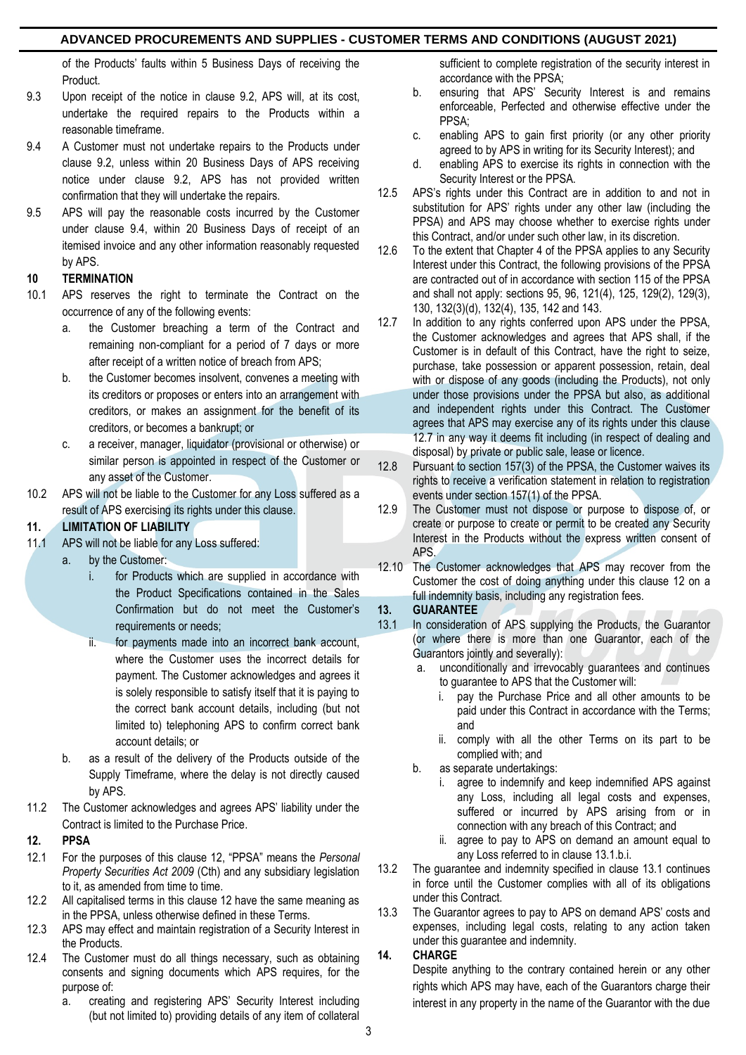of the Products' faults within 5 Business Days of receiving the Product.

- 9.3 Upon receipt of the notice in clause 9.2, APS will, at its cost, undertake the required repairs to the Products within a reasonable timeframe.
- 9.4 A Customer must not undertake repairs to the Products under clause 9.2, unless within 20 Business Days of APS receiving notice under clause 9.2, APS has not provided written confirmation that they will undertake the repairs.
- 9.5 APS will pay the reasonable costs incurred by the Customer under clause 9.4, within 20 Business Days of receipt of an itemised invoice and any other information reasonably requested by APS.

# **10 TERMINATION**

- 10.1 APS reserves the right to terminate the Contract on the occurrence of any of the following events:
	- a. the Customer breaching a term of the Contract and remaining non-compliant for a period of 7 days or more after receipt of a written notice of breach from APS;
	- b. the Customer becomes insolvent, convenes a meeting with its creditors or proposes or enters into an arrangement with creditors, or makes an assignment for the benefit of its creditors, or becomes a bankrupt; or
	- c. a receiver, manager, liquidator (provisional or otherwise) or similar person is appointed in respect of the Customer or any asset of the Customer.
- 10.2 APS will not be liable to the Customer for any Loss suffered as a result of APS exercising its rights under this clause.

# **11. LIMITATION OF LIABILITY**

- 11.1 APS will not be liable for any Loss suffered:
	- a. by the Customer:
		- for Products which are supplied in accordance with the Product Specifications contained in the Sales Confirmation but do not meet the Customer's requirements or needs;
		- ii. for payments made into an incorrect bank account, where the Customer uses the incorrect details for payment. The Customer acknowledges and agrees it is solely responsible to satisfy itself that it is paying to the correct bank account details, including (but not limited to) telephoning APS to confirm correct bank account details; or
	- b. as a result of the delivery of the Products outside of the Supply Timeframe, where the delay is not directly caused by APS.
- 11.2 The Customer acknowledges and agrees APS' liability under the Contract is limited to the Purchase Price.

# **12. PPSA**

- 12.1 For the purposes of this clause 12, "PPSA" means the *Personal Property Securities Act 2009* (Cth) and any subsidiary legislation to it, as amended from time to time.
- 12.2 All capitalised terms in this clause 12 have the same meaning as in the PPSA, unless otherwise defined in these Terms.
- 12.3 APS may effect and maintain registration of a Security Interest in the Products.
- 12.4 The Customer must do all things necessary, such as obtaining consents and signing documents which APS requires, for the purpose of:
	- a. creating and registering APS' Security Interest including (but not limited to) providing details of any item of collateral

sufficient to complete registration of the security interest in accordance with the PPSA;

- b. ensuring that APS' Security Interest is and remains enforceable, Perfected and otherwise effective under the PPSA;
- c. enabling APS to gain first priority (or any other priority agreed to by APS in writing for its Security Interest); and
- d. enabling APS to exercise its rights in connection with the Security Interest or the PPSA.
- 12.5 APS's rights under this Contract are in addition to and not in substitution for APS' rights under any other law (including the PPSA) and APS may choose whether to exercise rights under this Contract, and/or under such other law, in its discretion.
- 12.6 To the extent that Chapter 4 of the PPSA applies to any Security Interest under this Contract, the following provisions of the PPSA are contracted out of in accordance with section 115 of the PPSA and shall not apply: sections 95, 96, 121(4), 125, 129(2), 129(3), 130, 132(3)(d), 132(4), 135, 142 and 143.
- 12.7 In addition to any rights conferred upon APS under the PPSA, the Customer acknowledges and agrees that APS shall, if the Customer is in default of this Contract, have the right to seize. purchase, take possession or apparent possession, retain, deal with or dispose of any goods (including the Products), not only under those provisions under the PPSA but also, as additional and independent rights under this Contract. The Customer agrees that APS may exercise any of its rights under this clause 12.7 in any way it deems fit including (in respect of dealing and disposal) by private or public sale, lease or licence.
- 12.8 Pursuant to section 157(3) of the PPSA, the Customer waives its rights to receive a verification statement in relation to registration events under section 157(1) of the PPSA.
- 12.9 The Customer must not dispose or purpose to dispose of, or create or purpose to create or permit to be created any Security Interest in the Products without the express written consent of APS.
- 12.10 The Customer acknowledges that APS may recover from the Customer the cost of doing anything under this clause 12 on a full indemnity basis, including any registration fees.

# **13. GUARANTEE**

- 13.1 In consideration of APS supplying the Products, the Guarantor (or where there is more than one Guarantor, each of the Guarantors jointly and severally):
	- a. unconditionally and irrevocably guarantees and continues to guarantee to APS that the Customer will:
		- i. pay the Purchase Price and all other amounts to be paid under this Contract in accordance with the Terms; and
		- ii. comply with all the other Terms on its part to be complied with; and
	- b. as separate undertakings:
		- i. agree to indemnify and keep indemnified APS against any Loss, including all legal costs and expenses, suffered or incurred by APS arising from or in connection with any breach of this Contract; and
		- ii. agree to pay to APS on demand an amount equal to any Loss referred to in clause 13.1.b.i.
- 13.2 The guarantee and indemnity specified in clause 13.1 continues in force until the Customer complies with all of its obligations under this Contract.
- 13.3 The Guarantor agrees to pay to APS on demand APS' costs and expenses, including legal costs, relating to any action taken under this guarantee and indemnity.

# **14. CHARGE**

Despite anything to the contrary contained herein or any other rights which APS may have, each of the Guarantors charge their interest in any property in the name of the Guarantor with the due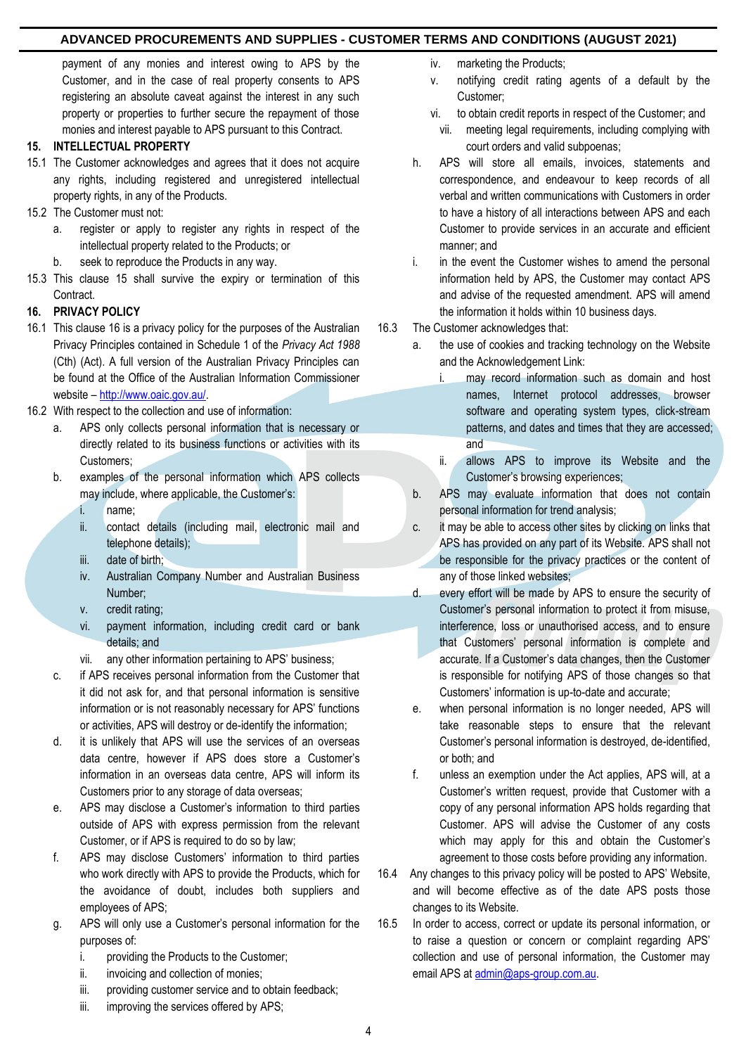payment of any monies and interest owing to APS by the Customer, and in the case of real property consents to APS registering an absolute caveat against the interest in any such property or properties to further secure the repayment of those monies and interest payable to APS pursuant to this Contract.

### **15. INTELLECTUAL PROPERTY**

- 15.1 The Customer acknowledges and agrees that it does not acquire any rights, including registered and unregistered intellectual property rights, in any of the Products.
- 15.2 The Customer must not:
	- a. register or apply to register any rights in respect of the intellectual property related to the Products; or
	- b. seek to reproduce the Products in any way.
- 15.3 This clause 15 shall survive the expiry or termination of this Contract.

## **16. PRIVACY POLICY**

- 16.1 This clause 16 is a privacy policy for the purposes of the Australian Privacy Principles contained in Schedule 1 of the *Privacy Act 1988* (Cth) (Act). A full version of the Australian Privacy Principles can be found at the Office of the Australian Information Commissioner website – [http://www.oaic.gov.au/.](http://www.oaic.gov.au/)
- 16.2 With respect to the collection and use of information:
	- a. APS only collects personal information that is necessary or directly related to its business functions or activities with its Customers;
	- b. examples of the personal information which APS collects may include, where applicable, the Customer's:
		- i. name;
		- ii. contact details (including mail, electronic mail and telephone details);
		- iii. date of birth;
		- iv. Australian Company Number and Australian Business Number;
		- v. credit rating;
		- vi. payment information, including credit card or bank details; and

vii. any other information pertaining to APS' business;

- c. if APS receives personal information from the Customer that it did not ask for, and that personal information is sensitive information or is not reasonably necessary for APS' functions or activities, APS will destroy or de-identify the information;
- d. it is unlikely that APS will use the services of an overseas data centre, however if APS does store a Customer's information in an overseas data centre, APS will inform its Customers prior to any storage of data overseas;
- e. APS may disclose a Customer's information to third parties outside of APS with express permission from the relevant Customer, or if APS is required to do so by law;
- f. APS may disclose Customers' information to third parties who work directly with APS to provide the Products, which for the avoidance of doubt, includes both suppliers and employees of APS;
- g. APS will only use a Customer's personal information for the purposes of:
	- i. providing the Products to the Customer;
	- ii. invoicing and collection of monies;
	- iii. providing customer service and to obtain feedback;
	- iii. improving the services offered by APS;
- iv. marketing the Products;
- v. notifying credit rating agents of a default by the Customer;
- vi. to obtain credit reports in respect of the Customer; and
	- vii. meeting legal requirements, including complying with court orders and valid subpoenas;
- h. APS will store all emails, invoices, statements and correspondence, and endeavour to keep records of all verbal and written communications with Customers in order to have a history of all interactions between APS and each Customer to provide services in an accurate and efficient manner; and
- i. in the event the Customer wishes to amend the personal information held by APS, the Customer may contact APS and advise of the requested amendment. APS will amend the information it holds within 10 business days.
- 16.3 The Customer acknowledges that:
	- a. the use of cookies and tracking technology on the Website and the Acknowledgement Link:
		- i. may record information such as domain and host names, Internet protocol addresses, browser software and operating system types, click-stream patterns, and dates and times that they are accessed; and
		- ii. allows APS to improve its Website and the Customer's browsing experiences;
	- b. APS may evaluate information that does not contain personal information for trend analysis;
	- c. it may be able to access other sites by clicking on links that APS has provided on any part of its Website. APS shall not be responsible for the privacy practices or the content of any of those linked websites;
	- d. every effort will be made by APS to ensure the security of Customer's personal information to protect it from misuse, interference, loss or unauthorised access, and to ensure that Customers' personal information is complete and accurate. If a Customer's data changes, then the Customer is responsible for notifying APS of those changes so that Customers' information is up-to-date and accurate;
	- e. when personal information is no longer needed, APS will take reasonable steps to ensure that the relevant Customer's personal information is destroyed, de-identified, or both; and
	- f. unless an exemption under the Act applies, APS will, at a Customer's written request, provide that Customer with a copy of any personal information APS holds regarding that Customer. APS will advise the Customer of any costs which may apply for this and obtain the Customer's agreement to those costs before providing any information.
- 16.4 Any changes to this privacy policy will be posted to APS' Website, and will become effective as of the date APS posts those changes to its Website.
- 16.5 In order to access, correct or update its personal information, or to raise a question or concern or complaint regarding APS' collection and use of personal information, the Customer may email APS at [admin@aps-group.com.au.](mailto:admin@aps-group.com.au)